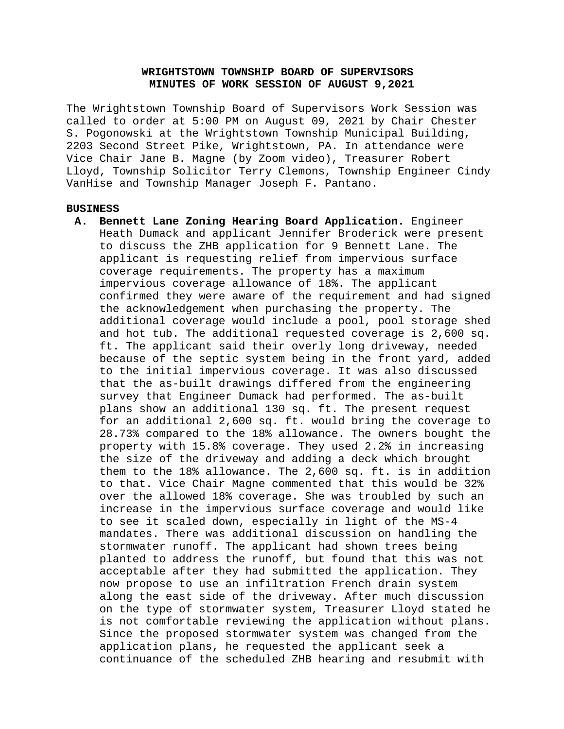# **WRIGHTSTOWN TOWNSHIP BOARD OF SUPERVISORS MINUTES OF WORK SESSION OF AUGUST 9,2021**

The Wrightstown Township Board of Supervisors Work Session was called to order at 5:00 PM on August 09, 2021 by Chair Chester S. Pogonowski at the Wrightstown Township Municipal Building, 2203 Second Street Pike, Wrightstown, PA. In attendance were Vice Chair Jane B. Magne (by Zoom video), Treasurer Robert Lloyd, Township Solicitor Terry Clemons, Township Engineer Cindy VanHise and Township Manager Joseph F. Pantano.

#### **BUSINESS**

**A. Bennett Lane Zoning Hearing Board Application.** Engineer Heath Dumack and applicant Jennifer Broderick were present to discuss the ZHB application for 9 Bennett Lane. The applicant is requesting relief from impervious surface coverage requirements. The property has a maximum impervious coverage allowance of 18%. The applicant confirmed they were aware of the requirement and had signed the acknowledgement when purchasing the property. The additional coverage would include a pool, pool storage shed and hot tub. The additional requested coverage is 2,600 sq. ft. The applicant said their overly long driveway, needed because of the septic system being in the front yard, added to the initial impervious coverage. It was also discussed that the as-built drawings differed from the engineering survey that Engineer Dumack had performed. The as-built plans show an additional 130 sq. ft. The present request for an additional 2,600 sq. ft. would bring the coverage to 28.73% compared to the 18% allowance. The owners bought the property with 15.8% coverage. They used 2.2% in increasing the size of the driveway and adding a deck which brought them to the 18% allowance. The 2,600 sq. ft. is in addition to that. Vice Chair Magne commented that this would be 32% over the allowed 18% coverage. She was troubled by such an increase in the impervious surface coverage and would like to see it scaled down, especially in light of the MS-4 mandates. There was additional discussion on handling the stormwater runoff. The applicant had shown trees being planted to address the runoff, but found that this was not acceptable after they had submitted the application. They now propose to use an infiltration French drain system along the east side of the driveway. After much discussion on the type of stormwater system, Treasurer Lloyd stated he is not comfortable reviewing the application without plans. Since the proposed stormwater system was changed from the application plans, he requested the applicant seek a continuance of the scheduled ZHB hearing and resubmit with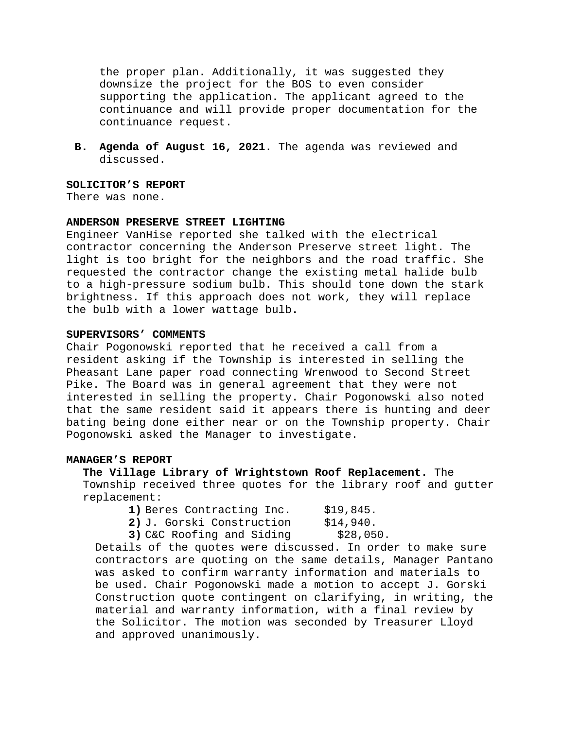the proper plan. Additionally, it was suggested they downsize the project for the BOS to even consider supporting the application. The applicant agreed to the continuance and will provide proper documentation for the continuance request.

**B. Agenda of August 16, 2021**. The agenda was reviewed and discussed.

## **SOLICITOR'S REPORT**

There was none.

## **ANDERSON PRESERVE STREET LIGHTING**

Engineer VanHise reported she talked with the electrical contractor concerning the Anderson Preserve street light. The light is too bright for the neighbors and the road traffic. She requested the contractor change the existing metal halide bulb to a high-pressure sodium bulb. This should tone down the stark brightness. If this approach does not work, they will replace the bulb with a lower wattage bulb**.**

### **SUPERVISORS' COMMENTS**

Chair Pogonowski reported that he received a call from a resident asking if the Township is interested in selling the Pheasant Lane paper road connecting Wrenwood to Second Street Pike. The Board was in general agreement that they were not interested in selling the property. Chair Pogonowski also noted that the same resident said it appears there is hunting and deer bating being done either near or on the Township property. Chair Pogonowski asked the Manager to investigate.

### **MANAGER'S REPORT**

**The Village Library of Wrightstown Roof Replacement.** The Township received three quotes for the library roof and gutter replacement:

- **1)** Beres Contracting Inc. \$19,845.<br>**2)** J. Gorski Construction \$14,940.
- **2)** J. Gorski Construction

**3)** C&C Roofing and Siding \$28,050.

Details of the quotes were discussed. In order to make sure contractors are quoting on the same details, Manager Pantano was asked to confirm warranty information and materials to be used. Chair Pogonowski made a motion to accept J. Gorski Construction quote contingent on clarifying, in writing, the material and warranty information, with a final review by the Solicitor. The motion was seconded by Treasurer Lloyd and approved unanimously.